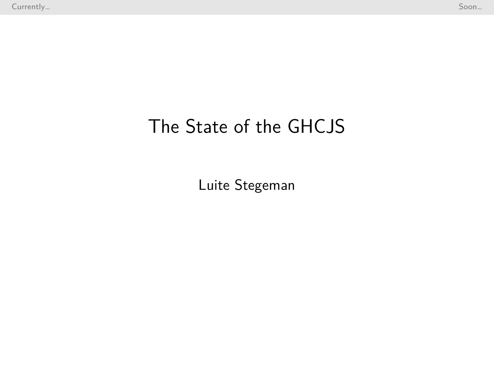## The State of the GHCJS

Luite Stegeman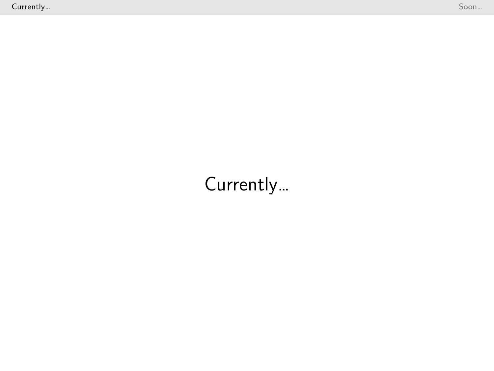# <span id="page-1-0"></span>[Currently…](#page-1-0)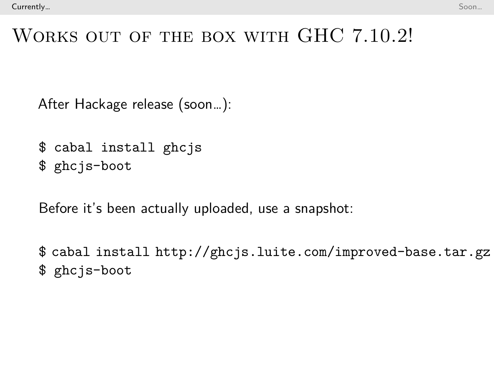### Works out of the box with GHC 7.10.2!

After Hackage release (soon…):

```
$ cabal install ghcjs
$ ghcjs-boot
```
Before it's been actually uploaded, use a snapshot:

\$ cabal install http://ghcjs.luite.com/improved-base.tar.gz \$ ghcjs-boot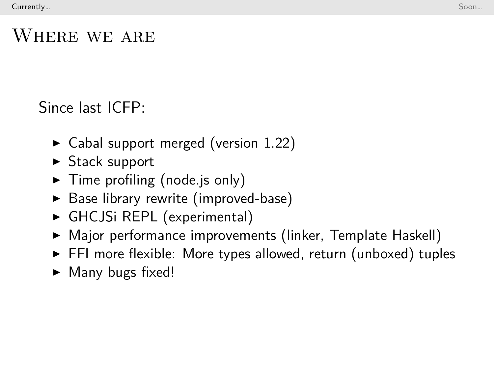## Where we are

Since last ICFP:

- $\blacktriangleright$  Cabal support merged (version 1.22)
- ▶ Stack support
- $\triangleright$  Time profiling (node. is only)
- ▶ Base library rewrite (improved-base)
- ▶ GHCJSi REPL (experimental)
- ▶ Major performance improvements (linker, Template Haskell)
- ▶ FFI more flexible: More types allowed, return (unboxed) tuples
- ▶ Many bugs fixed!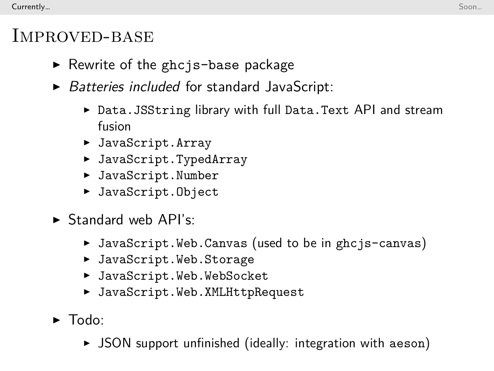#### Improved-base

- ▶ Rewrite of the ghcjs-base package
- ▶ *Batteries included* for standard JavaScript:
	- ▶ Data. JSString library with full Data. Text API and stream fusion
	- ▶ JavaScript.Array
	- ▶ JavaScript.TypedArray
	- ▶ JavaScript.Number
	- ▶ JavaScript.Object
- ▶ Standard web API's:
	- ▶ JavaScript.Web.Canvas (used to be in ghcjs-canvas)
	- ▶ JavaScript.Web.Storage
	- ▶ JavaScript.Web.WebSocket
	- ▶ JavaScript.Web.XMLHttpRequest
- ▶ Todo:
	- $\triangleright$  JSON support unfinished (ideally: integration with aeson)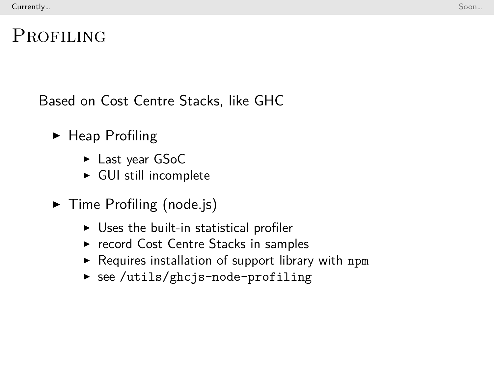### PROFILING

Based on Cost Centre Stacks, like GHC

- ▶ Heap Profiling
	- ▶ Last year GSoC
	- ▶ GUI still incomplete
- ▶ Time Profiling (node.js)
	- $\triangleright$  Uses the built-in statistical profiler
	- ▶ record Cost Centre Stacks in samples
	- $\triangleright$  Requires installation of support library with npm
	- ▶ see /utils/ghcjs-node-profiling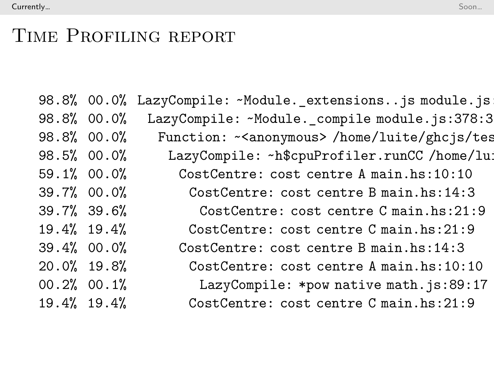#### TIME PROFILING REPORT

98.8% 00.0% LazyCompile: ~Module.\_extensions..js module.js 98.8% 00.0% LazyCompile: ~Module.\_compile module.js:378:37 98.8% 00.0% Function: ~<anonymous> /home/luite/ghcjs/tes 98.5% 00.0% LazyCompile: ~h\$cpuProfiler.runCC /home/lu: 59.1% 00.0% CostCentre: cost centre A main.hs:10:10 39.7% 00.0% CostCentre: cost centre B main.hs:14:3 39.7% 39.6% CostCentre: cost centre C main.hs:21:9 19.4% 19.4% CostCentre: cost centre C main.hs:21:9 39.4% 00.0% CostCentre: cost centre B main.hs:14:3 20.0% 19.8% CostCentre: cost centre A main.hs:10:10 00.2% 00.1% LazyCompile: \*pow native math.js:89:17 19.4% 19.4% CostCentre: cost centre C main.hs:21:9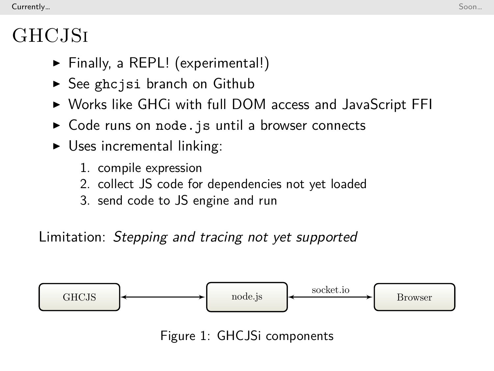## GHCJSi

- ▶ Finally, a REPL! (experimental!)
- ► See ghcjsi branch on Github
- ▶ Works like GHCi with full DOM access and JavaScript FFI
- ▶ Code runs on node. js until a browser connects
- $\triangleright$  Uses incremental linking:
	- 1. compile expression
	- 2. collect JS code for dependencies not yet loaded
	- 3. send code to JS engine and run

Limitation: *Stepping and tracing not yet supported*



Figure 1: GHCJSi components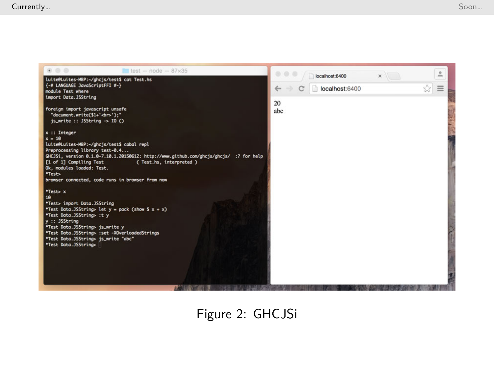| $\circ$ $\circ$ $\circ$<br>$\blacksquare$ test - node - 87×35<br>luite@Luites-MBP:~/ghcjs/test\$ cat Test.hs            | 888                                          | localhost:6400         | $\times$ | $\circ$<br>÷. |
|-------------------------------------------------------------------------------------------------------------------------|----------------------------------------------|------------------------|----------|---------------|
| {-# LANGUAGE JavaScriptFFI #-}                                                                                          | $\leftarrow$ $\rightarrow$<br>$\mathbb{C}^2$ | i là<br>localhost:6400 |          | ☆<br>$\equiv$ |
| module Test where                                                                                                       |                                              |                        |          |               |
| import Data.JSString                                                                                                    | 20                                           |                        |          |               |
| foreign import javascript unsafe<br>"document.write(\$1+'<br>');"<br>$is_mrite :: JSStrina \rightarrow IO \cap$         | abc                                          |                        |          |               |
| x :: Integer                                                                                                            |                                              |                        |          |               |
| $x = 10$                                                                                                                |                                              |                        |          |               |
| luite@Luites-MBP:~/ghcjs/test\$ cabal repl                                                                              |                                              |                        |          |               |
| Preprocessing library test-0.4<br>GHCJSi, version 0.1.0-7.10.1.20150612: http://www.github.com/ghcjs/ghcjs/ :? for help |                                              |                        |          |               |
| (Test.hs, interpreted)<br>[1 of 1] Compiling Test                                                                       |                                              |                        |          |               |
| Ok, modules loaded: Test.                                                                                               |                                              |                        |          |               |
| *Test>                                                                                                                  |                                              |                        |          |               |
| browser connected, code runs in browser from now                                                                        |                                              |                        |          |               |
| $Test$ $\times$                                                                                                         |                                              |                        |          |               |
| 10                                                                                                                      |                                              |                        |          |               |
| *Test> import Data.JSString                                                                                             |                                              |                        |          |               |
| *Test Data.JSString> let $y = pack$ (show \$ $x + x$ )<br>*Test Data.JSString> :t y                                     |                                              |                        |          |               |
| v :: JSString                                                                                                           |                                              |                        |          |               |
| *Test Data.JSString> js_write y                                                                                         |                                              |                        |          |               |
| *Test Data.JSString> :set -XOverloadedStrings                                                                           |                                              |                        |          |               |
| *Test Data.JSString> is_write "abc"                                                                                     |                                              |                        |          |               |
| *Test Data.JSString>                                                                                                    |                                              |                        |          |               |
|                                                                                                                         |                                              |                        |          |               |
|                                                                                                                         |                                              |                        |          |               |
|                                                                                                                         |                                              |                        |          |               |
|                                                                                                                         |                                              |                        |          |               |
| <b>AMORITAN PRINT</b>                                                                                                   |                                              |                        |          |               |

Figure 2: GHCJSi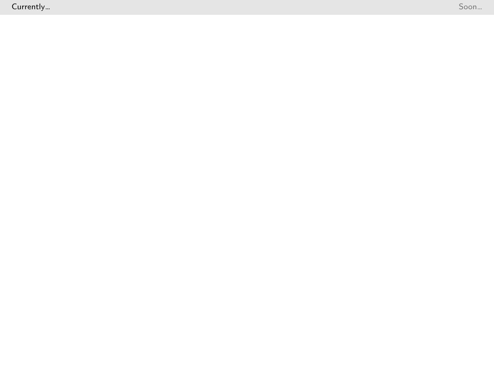Currently...

Soon...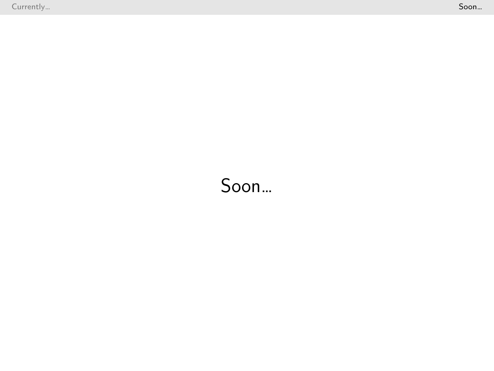## <span id="page-10-0"></span>Soon...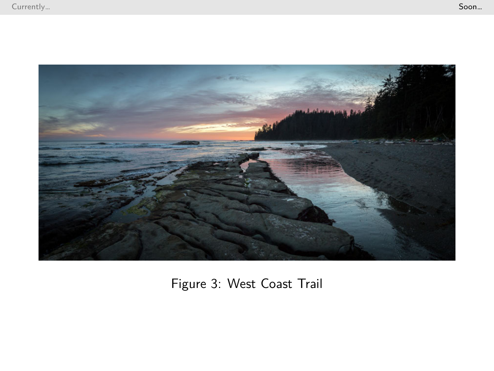

Figure 3: West Coast Trail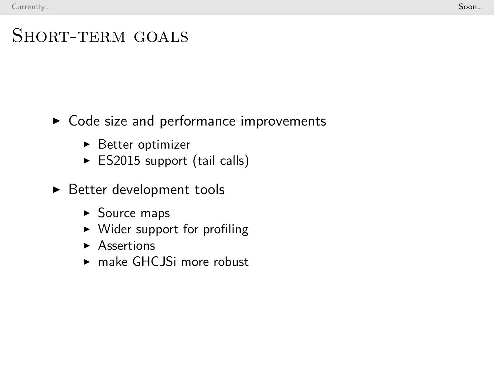#### SHORT-TERM GOALS

- ▶ Code size and performance improvements
	- ▶ Better optimizer
	- $\blacktriangleright$  ES2015 support (tail calls)
- ▶ Better development tools
	- ▶ Source maps
	- ▶ Wider support for profiling
	- ▶ Assertions
	- ▶ make GHCJSi more robust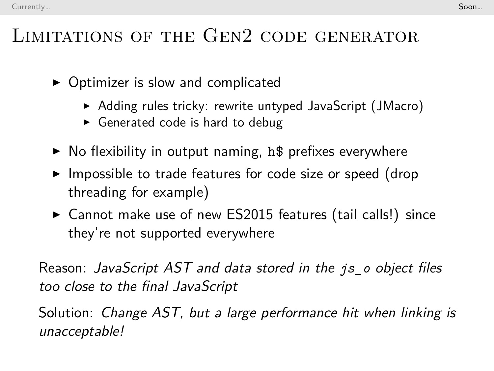#### LIMITATIONS OF THE GEN2 CODE GENERATOR

- ▶ Optimizer is slow and complicated
	- ▶ Adding rules tricky: rewrite untyped JavaScript (JMacro)
	- ▶ Generated code is hard to debug
- ▶ No flexibility in output naming, h\$ prefixes everywhere
- ▶ Impossible to trade features for code size or speed (drop threading for example)
- ▶ Cannot make use of new ES2015 features (tail calls!) since they're not supported everywhere

Reason: *JavaScript AST and data stored in the js\_o object files too close to the final JavaScript*

Solution: *Change AST, but a large performance hit when linking is unacceptable!*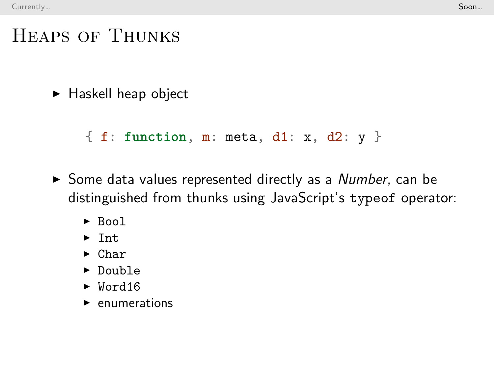#### Heaps of Thunks

▶ Haskell heap object

```
{ f: function, m: meta, d1: x, d2: y }
```
- ▶ Some data values represented directly as a *Number*, can be distinguished from thunks using JavaScript's typeof operator:
	- ▶ Bool
	- $\blacktriangleright$  Tnt.
	- $\blacktriangleright$  Char
	- ▶ Double
	- ▶ Word16
	- $\blacktriangleright$  enumerations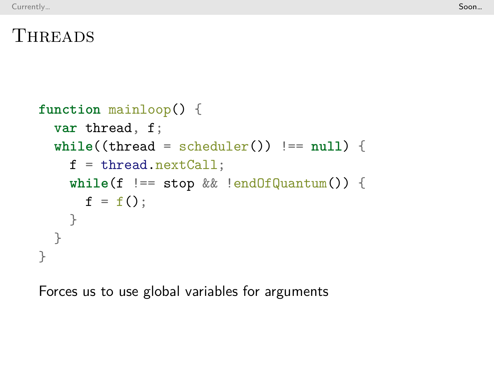### **THREADS**

```
function mainloop() {
  var thread, f;
  while((thread = scheduler()) == null)f = thread.nextCall;while(f := stop \&\&\; !endOfQuantum() ) {
      f = f();
   }
 }
}
```
Forces us to use global variables for arguments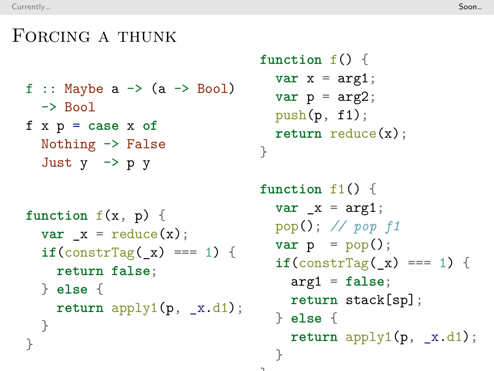#### FORCING A THUNK

- f :: Maybe  $a \rightarrow (a \rightarrow Bool)$  $\rightarrow$  Bool
- f x p = **case** x **of** Nothing -> False Just  $y \rightarrow p y$

```
function f(x, p) {
  var_x = reduce(x);\textbf{if}(\text{constructing}(\mathbf{x}) == 1)return false;
  } else {
    return apply1(p, x.d1);}
}
```

```
var x = arg1;var p = arg2;push(p, f1);return reduce(x);
}
function f1() {
  var_x = arg1;pop(); // pop f1
  var p = pop();
  \textbf{if}(\text{constructing}(\mathbf{x}) == 1)arg1 = false;
    return stack[sp];
  } else {
    return apply1(p, x.d1);}
```
**function** f() {

 $\mathcal{L}$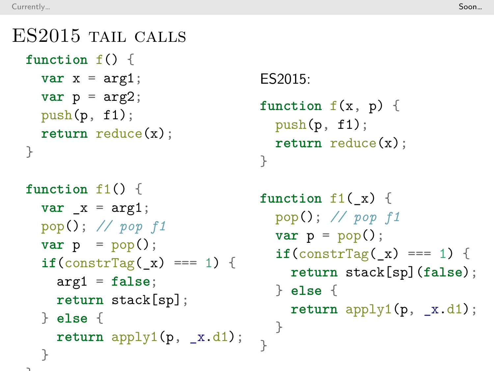}

#### ES2015 TAIL CALLS

```
function f() {
  var x = arg1;var p = arg2;push(p, f1);return reduce(x);
}
```

```
function f1() {
  var_x = arg1;pop(); // pop f1
  var p = pop();
  \textbf{if}(\text{constructing}(\_x) == 1)arg1 = false;
    return stack[sp];
  } else {
    return apply1(p, x.d1);}
```
ES2015:

**function** f(x, p) {  $push(p, f1);$ **return** reduce(x); }

```
function f1(x) {
  pop(); // pop f1
  var p = pop();
  \textbf{if}(\text{constructing}(\mathbf{x}) == 1)return stack[sp](false);
  } else {
    return apply1(p, x.d1);}
}
```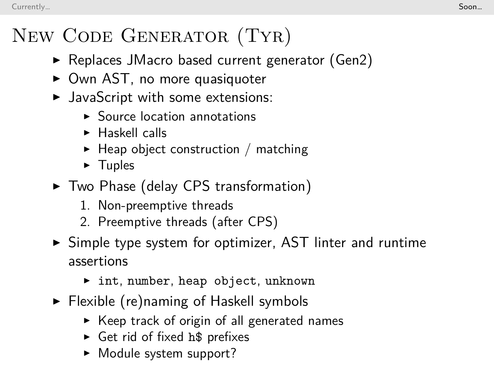# NEW CODE GENERATOR (TYR)

- ▶ Replaces JMacro based current generator (Gen2)
- ▶ Own AST, no more quasiquoter
- ▶ JavaScript with some extensions:
	- ▶ Source location annotations
	- ▶ Haskell calls
	- $\blacktriangleright$  Heap object construction / matching
	- ▶ Tuples
- ▶ Two Phase (delay CPS transformation)
	- 1. Non-preemptive threads
	- 2. Preemptive threads (after CPS)
- ▶ Simple type system for optimizer, AST linter and runtime assertions
	- ▶ int, number, heap object, unknown
- ▶ Flexible (re)naming of Haskell symbols
	- ▶ Keep track of origin of all generated names
	- ▶ Get rid of fixed h\$ prefixes
	- Module system support?